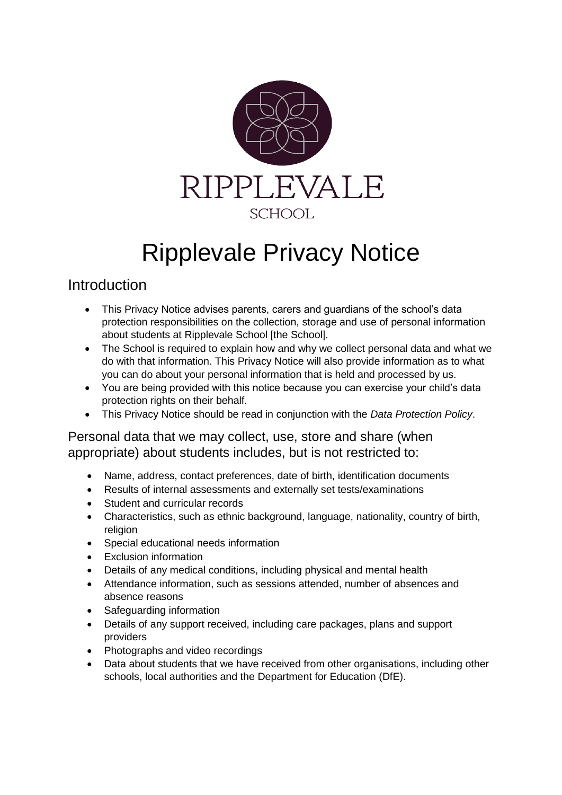

# Ripplevale Privacy Notice

# **Introduction**

- This Privacy Notice advises parents, carers and guardians of the school's data protection responsibilities on the collection, storage and use of personal information about students at Ripplevale School [the School].
- The School is required to explain how and why we collect personal data and what we do with that information. This Privacy Notice will also provide information as to what you can do about your personal information that is held and processed by us.
- You are being provided with this notice because you can exercise your child's data protection rights on their behalf.
- This Privacy Notice should be read in conjunction with the *Data Protection Policy*.

Personal data that we may collect, use, store and share (when appropriate) about students includes, but is not restricted to:

- Name, address, contact preferences, date of birth, identification documents
- Results of internal assessments and externally set tests/examinations
- Student and curricular records
- Characteristics, such as ethnic background, language, nationality, country of birth, religion
- Special educational needs information
- Exclusion information
- Details of any medical conditions, including physical and mental health
- Attendance information, such as sessions attended, number of absences and absence reasons
- Safeguarding information
- Details of any support received, including care packages, plans and support providers
- Photographs and video recordings
- Data about students that we have received from other organisations, including other schools, local authorities and the Department for Education (DfE).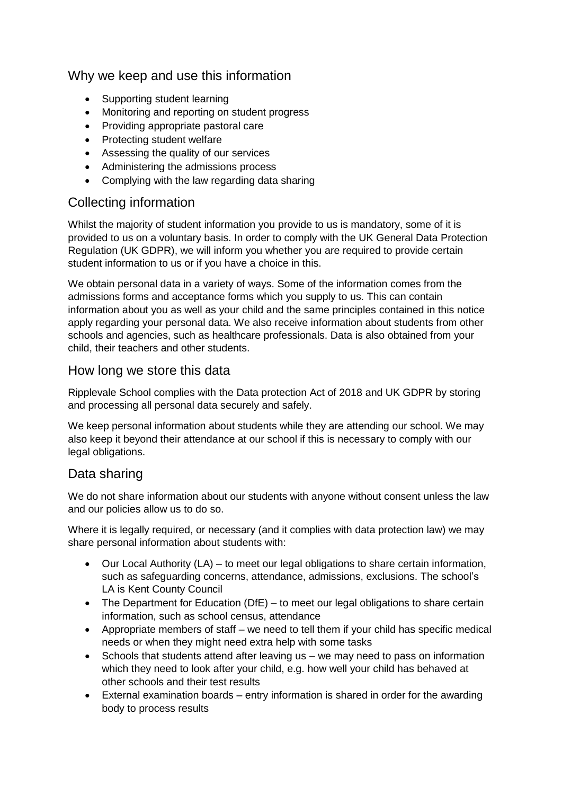## Why we keep and use this information

- Supporting student learning
- Monitoring and reporting on student progress
- Providing appropriate pastoral care
- Protecting student welfare
- Assessing the quality of our services
- Administering the admissions process
- Complying with the law regarding data sharing

#### Collecting information

Whilst the majority of student information you provide to us is mandatory, some of it is provided to us on a voluntary basis. In order to comply with the UK General Data Protection Regulation (UK GDPR), we will inform you whether you are required to provide certain student information to us or if you have a choice in this.

We obtain personal data in a variety of ways. Some of the information comes from the admissions forms and acceptance forms which you supply to us. This can contain information about you as well as your child and the same principles contained in this notice apply regarding your personal data. We also receive information about students from other schools and agencies, such as healthcare professionals. Data is also obtained from your child, their teachers and other students.

#### How long we store this data

Ripplevale School complies with the Data protection Act of 2018 and UK GDPR by storing and processing all personal data securely and safely.

We keep personal information about students while they are attending our school. We may also keep it beyond their attendance at our school if this is necessary to comply with our legal obligations.

#### Data sharing

We do not share information about our students with anyone without consent unless the law and our policies allow us to do so.

Where it is legally required, or necessary (and it complies with data protection law) we may share personal information about students with:

- Our Local Authority (LA) to meet our legal obligations to share certain information, such as safeguarding concerns, attendance, admissions, exclusions. The school's LA is Kent County Council
- The Department for Education (DfE) to meet our legal obligations to share certain information, such as school census, attendance
- Appropriate members of staff we need to tell them if your child has specific medical needs or when they might need extra help with some tasks
- Schools that students attend after leaving us we may need to pass on information which they need to look after your child, e.g. how well your child has behaved at other schools and their test results
- External examination boards entry information is shared in order for the awarding body to process results